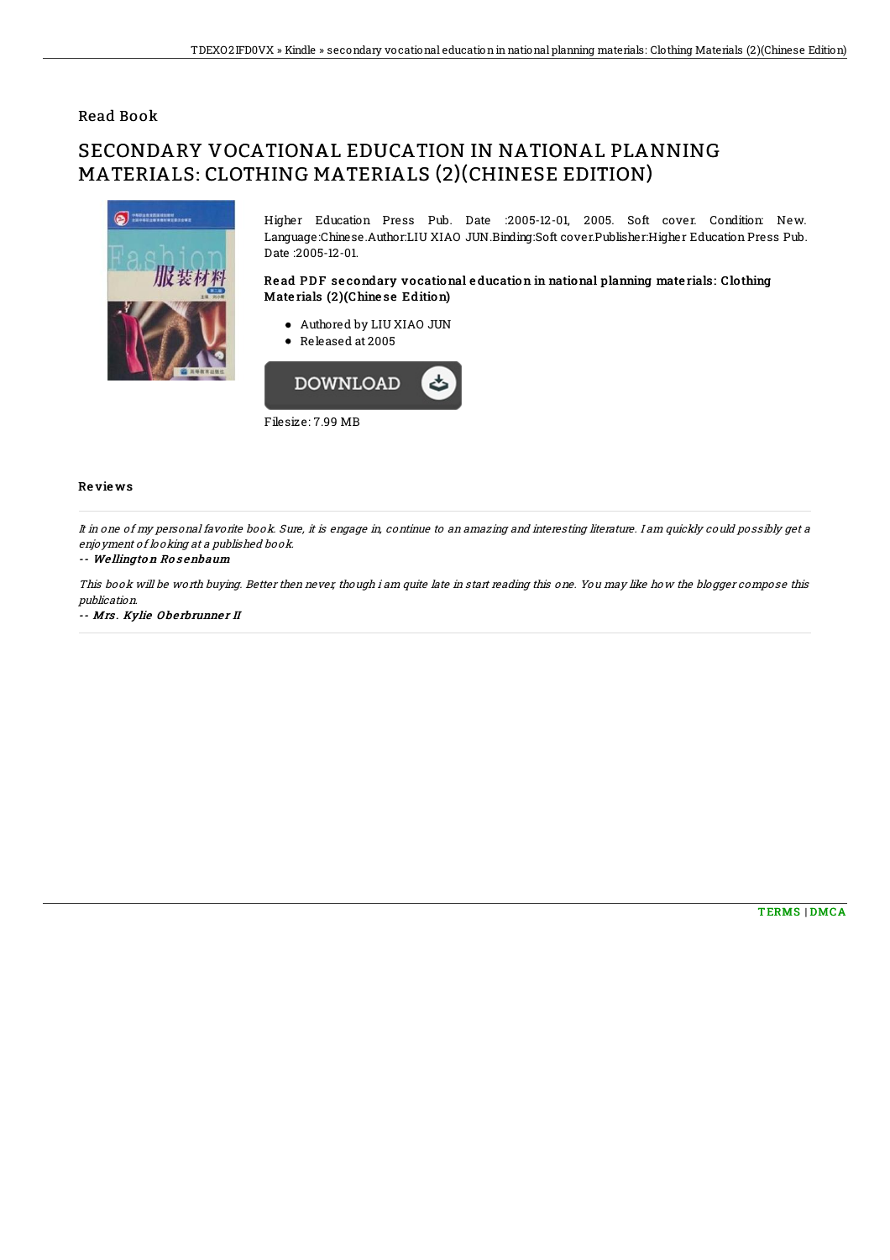## Read Book

# SECONDARY VOCATIONAL EDUCATION IN NATIONAL PLANNING MATERIALS: CLOTHING MATERIALS (2)(CHINESE EDITION)



Higher Education Press Pub. Date :2005-12-01, 2005. Soft cover. Condition: New. Language:Chinese.Author:LIU XIAO JUN.Binding:Soft cover.Publisher:Higher Education Press Pub. Date :2005-12-01.

### Read PDF secondary vocational education in national planning materials: Clothing Mate rials (2 )(Chine se Edition)

- Authored by LIU XIAO JUN
- Released at 2005



Filesize: 7.99 MB

#### Re vie ws

It in one of my personal favorite book. Sure, it is engage in, continue to an amazing and interesting literature. I am quickly could possibly get <sup>a</sup> enjoyment of looking at <sup>a</sup> published book.

#### -- We llingto <sup>n</sup> Ro <sup>s</sup> enbaum

This book will be worth buying. Better then never, though i am quite late in start reading this one. You may like how the blogger compose this publication.

-- Mrs. Kylie Oberbrunner II